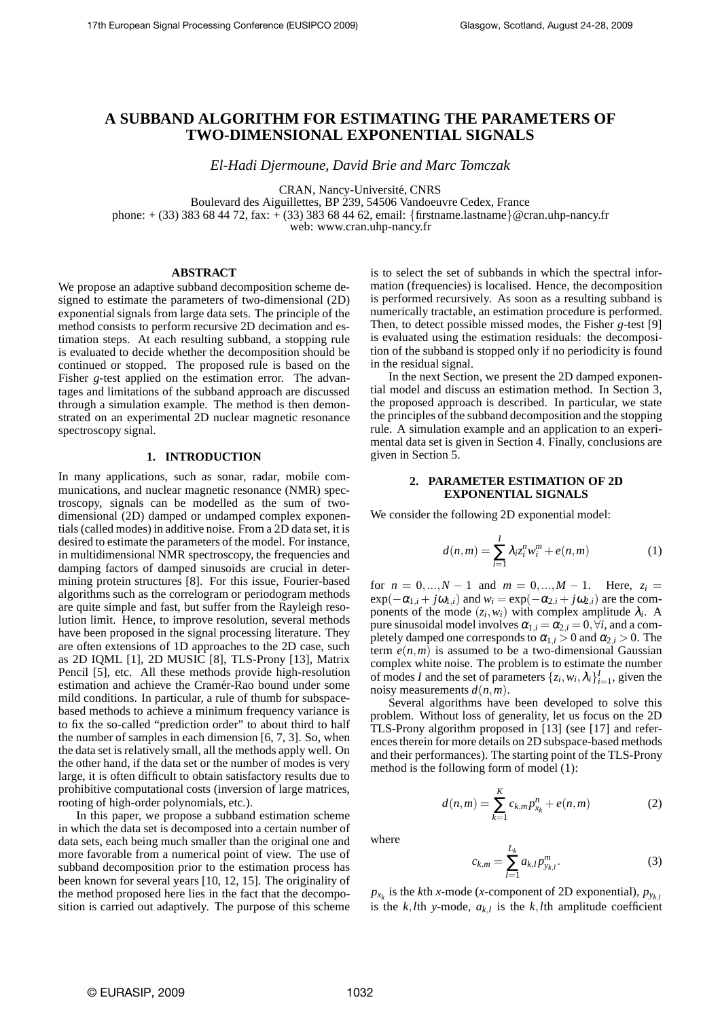# **A SUBBAND ALGORITHM FOR ESTIMATING THE PARAMETERS OF TWO-DIMENSIONAL EXPONENTIAL SIGNALS**

*El-Hadi Djermoune, David Brie and Marc Tomczak*

CRAN, Nancy-Université, CNRS

Boulevard des Aiguillettes, BP 239, 54506 Vandoeuvre Cedex, France phone: + (33) 383 68 44 72, fax: + (33) 383 68 44 62, email: {firstname.lastname}@cran.uhp-nancy.fr web: www.cran.uhp-nancy.fr

## **ABSTRACT**

We propose an adaptive subband decomposition scheme designed to estimate the parameters of two-dimensional (2D) exponential signals from large data sets. The principle of the method consists to perform recursive 2D decimation and estimation steps. At each resulting subband, a stopping rule is evaluated to decide whether the decomposition should be continued or stopped. The proposed rule is based on the Fisher *g*-test applied on the estimation error. The advantages and limitations of the subband approach are discussed through a simulation example. The method is then demonstrated on an experimental 2D nuclear magnetic resonance spectroscopy signal.

#### **1. INTRODUCTION**

In many applications, such as sonar, radar, mobile communications, and nuclear magnetic resonance (NMR) spectroscopy, signals can be modelled as the sum of twodimensional (2D) damped or undamped complex exponentials (called modes) in additive noise. From a 2D data set, it is desired to estimate the parameters of the model. For instance, in multidimensional NMR spectroscopy, the frequencies and damping factors of damped sinusoids are crucial in determining protein structures [8]. For this issue, Fourier-based algorithms such as the correlogram or periodogram methods are quite simple and fast, but suffer from the Rayleigh resolution limit. Hence, to improve resolution, several methods have been proposed in the signal processing literature. They are often extensions of 1D approaches to the 2D case, such as 2D IQML [1], 2D MUSIC [8], TLS-Prony [13], Matrix Pencil [5], etc. All these methods provide high-resolution estimation and achieve the Cramér-Rao bound under some mild conditions. In particular, a rule of thumb for subspacebased methods to achieve a minimum frequency variance is to fix the so-called "prediction order" to about third to half the number of samples in each dimension [6, 7, 3]. So, when the data set is relatively small, all the methods apply well. On the other hand, if the data set or the number of modes is very large, it is often difficult to obtain satisfactory results due to prohibitive computational costs (inversion of large matrices, rooting of high-order polynomials, etc.).

In this paper, we propose a subband estimation scheme in which the data set is decomposed into a certain number of data sets, each being much smaller than the original one and more favorable from a numerical point of view. The use of subband decomposition prior to the estimation process has been known for several years [10, 12, 15]. The originality of the method proposed here lies in the fact that the decomposition is carried out adaptively. The purpose of this scheme is to select the set of subbands in which the spectral information (frequencies) is localised. Hence, the decomposition is performed recursively. As soon as a resulting subband is numerically tractable, an estimation procedure is performed. Then, to detect possible missed modes, the Fisher *g*-test [9] is evaluated using the estimation residuals: the decomposition of the subband is stopped only if no periodicity is found in the residual signal.

In the next Section, we present the 2D damped exponential model and discuss an estimation method. In Section 3, the proposed approach is described. In particular, we state the principles of the subband decomposition and the stopping rule. A simulation example and an application to an experimental data set is given in Section 4. Finally, conclusions are given in Section 5.

#### **2. PARAMETER ESTIMATION OF 2D EXPONENTIAL SIGNALS**

We consider the following 2D exponential model:

$$
d(n,m) = \sum_{i=1}^{I} \lambda_i z_i^n w_i^m + e(n,m)
$$
 (1)

for  $n = 0, ..., N - 1$  and  $m = 0, ..., M - 1$ . Here,  $z_i =$  $\exp(-\alpha_{1,i} + j\omega_{1,i})$  and  $w_i = \exp(-\alpha_{2,i} + j\omega_{2,i})$  are the components of the mode  $(z_i, w_i)$  with complex amplitude  $\lambda_i$ . A pure sinusoidal model involves  $\alpha_{1,i} = \alpha_{2,i} = 0, \forall i$ , and a completely damped one corresponds to  $\alpha_{1,i} > 0$  and  $\alpha_{2,i} > 0$ . The term  $e(n,m)$  is assumed to be a two-dimensional Gaussian complex white noise. The problem is to estimate the number of modes *I* and the set of parameters  $\{z_i, w_i, \lambda_i\}_{i=1}^I$ , given the noisy measurements  $d(n, m)$ .

Several algorithms have been developed to solve this problem. Without loss of generality, let us focus on the 2D TLS-Prony algorithm proposed in [13] (see [17] and references therein for more details on 2D subspace-based methods and their performances). The starting point of the TLS-Prony method is the following form of model (1):

$$
d(n,m) = \sum_{k=1}^{K} c_{k,m} p_{x_k}^n + e(n,m)
$$
 (2)

where

$$
c_{k,m} = \sum_{l=1}^{L_k} a_{k,l} p_{y_{k,l}}^m.
$$
 (3)

 $p_{x_k}$  is the *k*th *x*-mode (*x*-component of 2D exponential),  $p_{y_{k,l}}$ is the  $k$ , *l*th *y*-mode,  $a_{k,l}$  is the  $k$ , *l*th amplitude coefficient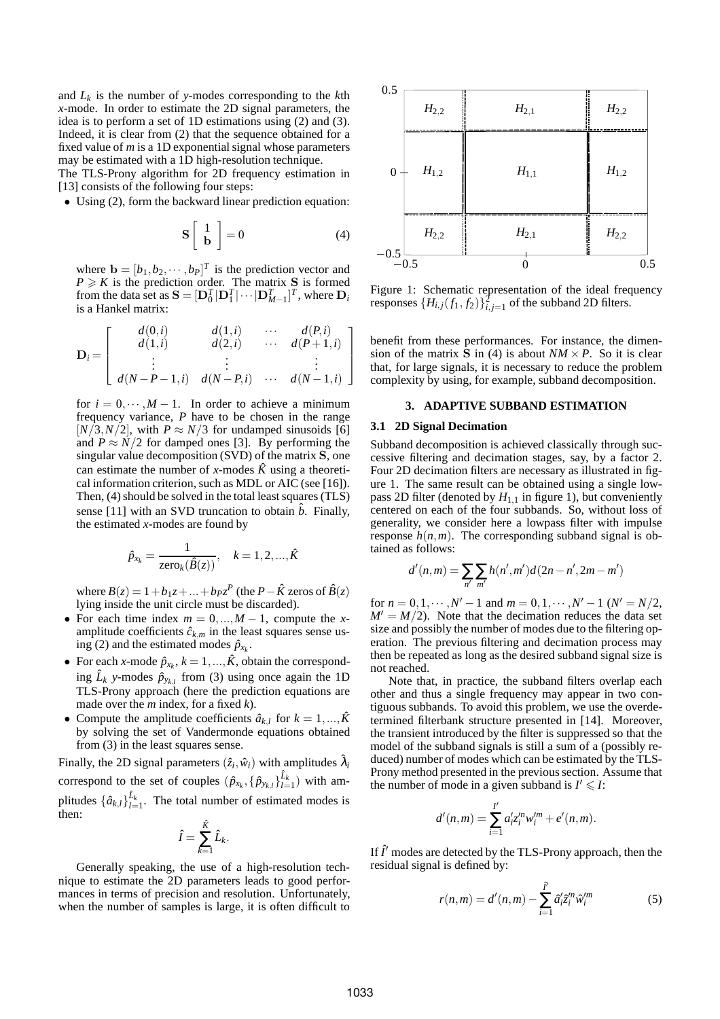and *L<sup>k</sup>* is the number of *y*-modes corresponding to the *k*th *x*-mode. In order to estimate the 2D signal parameters, the idea is to perform a set of 1D estimations using (2) and (3). Indeed, it is clear from (2) that the sequence obtained for a fixed value of *m* is a 1D exponential signal whose parameters may be estimated with a 1D high-resolution technique.

The TLS-Prony algorithm for 2D frequency estimation in [13] consists of the following four steps:

• Using (2), form the backward linear prediction equation:

$$
\mathbf{S} \left[ \begin{array}{c} 1 \\ \mathbf{b} \end{array} \right] = 0 \tag{4}
$$

where  $\mathbf{b} = [b_1, b_2, \dots, b_P]^T$  is the prediction vector and  $P \ge K$  is the prediction order. The matrix S is formed from the data set as  $\mathbf{S} = [\mathbf{D}_0^T | \mathbf{D}_1^T | \cdots | \mathbf{D}_{M-1}^T]^T$ , where  $\mathbf{D}_i$ is a Hankel matrix:

$$
\mathbf{D}_{i} = \left[ \begin{array}{cccc} d(0,i) & d(1,i) & \cdots & d(P,i) \\ d(1,i) & d(2,i) & \cdots & d(P+1,i) \\ \vdots & \vdots & \ddots & \vdots \\ d(N-P-1,i) & d(N-P,i) & \cdots & d(N-1,i) \end{array} \right]
$$

for  $i = 0, \dots, M - 1$ . In order to achieve a minimum frequency variance, *P* have to be chosen in the range  $[N/3, N/2]$ , with  $P \approx N/3$  for undamped sinusoids [6] and  $P \approx N/2$  for damped ones [3]. By performing the singular value decomposition (SVD) of the matrix S, one can estimate the number of *x*-modes  $\hat{K}$  using a theoretical information criterion, such as MDL or AIC (see [16]). Then, (4) should be solved in the total least squares (TLS) sense [11] with an SVD truncation to obtain  $\hat{b}$ . Finally, the estimated *x*-modes are found by

$$
\hat{p}_{x_k} = \frac{1}{\text{zero}_k(\hat{B}(z))}, \quad k = 1, 2, ..., \hat{K}
$$

where  $B(z) = 1 + b_1 z + ... + b_P z^P$  (the *P* −  $\hat{K}$  zeros of  $\hat{B}(z)$ ) lying inside the unit circle must be discarded).

- For each time index  $m = 0, ..., M 1$ , compute the *x*amplitude coefficients  $\hat{c}_{k,m}$  in the least squares sense using (2) and the estimated modes  $\hat{p}_{x_k}$ .
- For each *x*-mode  $\hat{p}_{x_k}$ ,  $k = 1, ..., \hat{K}$ , obtain the corresponding  $\hat{L}_k$  *y*-modes  $\hat{p}_{y_{k,l}}$  from (3) using once again the 1D TLS-Prony approach (here the prediction equations are made over the *m* index, for a fixed *k*).
- Compute the amplitude coefficients  $\hat{a}_{k,l}$  for  $k = 1, ..., \hat{K}$ by solving the set of Vandermonde equations obtained from (3) in the least squares sense.

Finally, the 2D signal parameters  $(\hat{z}_i, \hat{w}_i)$  with amplitudes  $\hat{\lambda}_i$ correspond to the set of couples  $(\hat{p}_{x_k}, {\{\hat{p}_{y_{k,l}}\}}_{l=1}^{\hat{L}_k})$  with amplitudes  $\{\hat{a}_{k,l}\}_{l=1}^{\hat{L}_k}$ . The total number of estimated modes is then:

$$
\hat{I} = \sum_{k=1}^{\hat{K}} \hat{L}_k.
$$

Generally speaking, the use of a high-resolution technique to estimate the 2D parameters leads to good performances in terms of precision and resolution. Unfortunately, when the number of samples is large, it is often difficult to



Figure 1: Schematic representation of the ideal frequency responses  $\{H_{i,j}(f_1, f_2)\}_{i,j=1}^2$  of the subband 2D filters.

benefit from these performances. For instance, the dimension of the matrix  $\tilde{S}$  in (4) is about  $NM \times P$ . So it is clear that, for large signals, it is necessary to reduce the problem complexity by using, for example, subband decomposition.

## **3. ADAPTIVE SUBBAND ESTIMATION**

#### **3.1 2D Signal Decimation**

Subband decomposition is achieved classically through successive filtering and decimation stages, say, by a factor 2. Four 2D decimation filters are necessary as illustrated in figure 1. The same result can be obtained using a single lowpass 2D filter (denoted by  $H_{1,1}$  in figure 1), but conveniently centered on each of the four subbands. So, without loss of generality, we consider here a lowpass filter with impulse response  $h(n,m)$ . The corresponding subband signal is obtained as follows:

$$
d'(n,m) = \sum_{n'} \sum_{m'} h(n',m')d(2n-n',2m-m')
$$

for  $n = 0, 1, \dots, N' - 1$  and  $m = 0, 1, \dots, N' - 1$  ( $N' = N/2$ ,  $M' = M/2$ ). Note that the decimation reduces the data set size and possibly the number of modes due to the filtering operation. The previous filtering and decimation process may then be repeated as long as the desired subband signal size is not reached.

Note that, in practice, the subband filters overlap each other and thus a single frequency may appear in two contiguous subbands. To avoid this problem, we use the overdetermined filterbank structure presented in [14]. Moreover, the transient introduced by the filter is suppressed so that the model of the subband signals is still a sum of a (possibly reduced) number of modes which can be estimated by the TLS-Prony method presented in the previous section. Assume that the number of mode in a given subband is  $I' \leq I$ :

$$
d'(n,m) = \sum_{i=1}^{l'} a'_i z_i'^m w_i'^m + e'(n,m).
$$

If  $\hat{I}'$  modes are detected by the TLS-Prony approach, then the residual signal is defined by:

$$
r(n,m) = d'(n,m) - \sum_{i=1}^{j'} \hat{a}'_i \hat{z}^m_i \hat{w}^m_i
$$
 (5)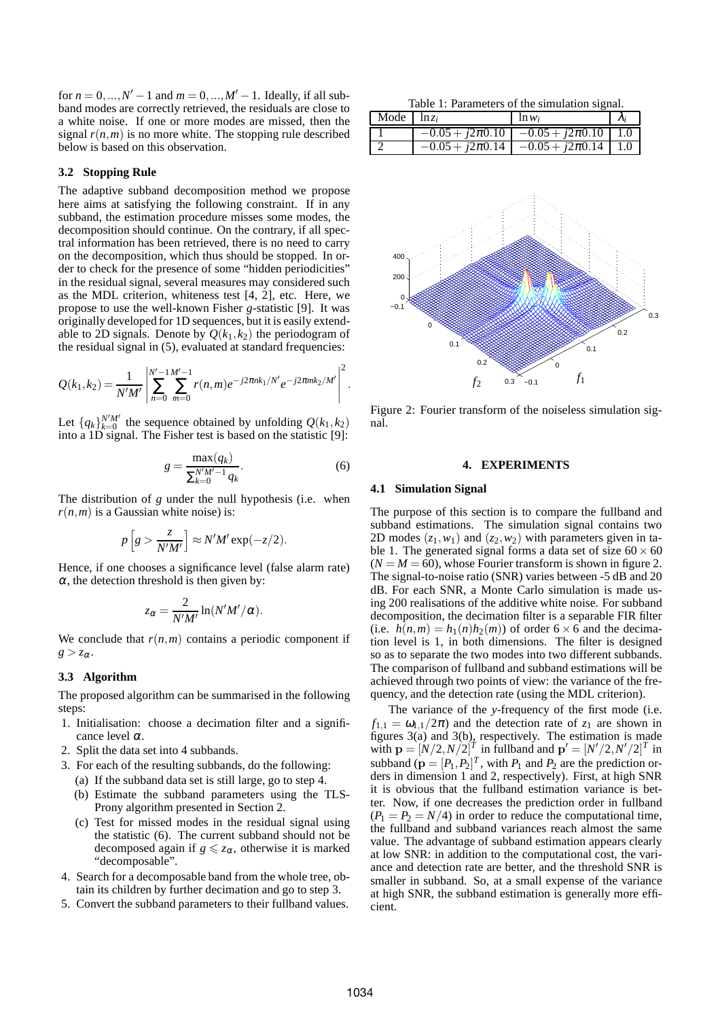for  $n = 0, ..., N' - 1$  and  $m = 0, ..., M' - 1$ . Ideally, if all subband modes are correctly retrieved, the residuals are close to a white noise. If one or more modes are missed, then the signal  $r(n,m)$  is no more white. The stopping rule described below is based on this observation.

### **3.2 Stopping Rule**

The adaptive subband decomposition method we propose here aims at satisfying the following constraint. If in any subband, the estimation procedure misses some modes, the decomposition should continue. On the contrary, if all spectral information has been retrieved, there is no need to carry on the decomposition, which thus should be stopped. In order to check for the presence of some "hidden periodicities" in the residual signal, several measures may considered such as the MDL criterion, whiteness test [4, 2], etc. Here, we propose to use the well-known Fisher *g*-statistic [9]. It was originally developed for 1D sequences, but it is easily extendable to 2D signals. Denote by  $Q(k_1, k_2)$  the periodogram of the residual signal in (5), evaluated at standard frequencies:

$$
Q(k_1,k_2)=\frac{1}{N'M'}\left|\sum_{n=0}^{N'-1}\sum_{m=0}^{M'-1}r(n,m)e^{-j2\pi nk_1/N'}e^{-j2\pi mk_2/M'}\right|^2.
$$

Let  $\{q_k\}_{k=0}^{N'M'}$  the sequence obtained by unfolding  $Q(k_1, k_2)$ into a 1D signal. The Fisher test is based on the statistic [9]:

$$
g = \frac{\max(q_k)}{\sum_{k=0}^{N'M'-1} q_k}.
$$
 (6)

The distribution of *g* under the null hypothesis (i.e. when  $r(n,m)$  is a Gaussian white noise) is:

$$
p\left[g > \frac{z}{N'M'}\right] \approx N'M' \exp(-z/2).
$$

Hence, if one chooses a significance level (false alarm rate)  $\alpha$ , the detection threshold is then given by:

$$
z_{\alpha} = \frac{2}{N'M'}\ln(N'M'/\alpha).
$$

We conclude that  $r(n,m)$  contains a periodic component if  $g > z_{\alpha}$ .

### **3.3 Algorithm**

The proposed algorithm can be summarised in the following steps:

- 1. Initialisation: choose a decimation filter and a significance level  $\alpha$ .
- 2. Split the data set into 4 subbands.
- 3. For each of the resulting subbands, do the following:
	- (a) If the subband data set is still large, go to step 4.
	- (b) Estimate the subband parameters using the TLS-Prony algorithm presented in Section 2.
	- (c) Test for missed modes in the residual signal using the statistic (6). The current subband should not be decomposed again if  $g \leq z_\alpha$ , otherwise it is marked "decomposable".
- 4. Search for a decomposable band from the whole tree, obtain its children by further decimation and go to step 3.
- 5. Convert the subband parameters to their fullband values.

Table 1: Parameters of the simulation signal.

| Mode $\ln z_i$ | $\ln w_i$                                       |  |
|----------------|-------------------------------------------------|--|
|                | $-0.05 + i2\pi 0.10$ $-0.05 + i2\pi 0.10$ 1.0   |  |
|                | $-0.05 + i2\pi 0.14$ $-0.05 + i2\pi 0.14$   1.0 |  |



Figure 2: Fourier transform of the noiseless simulation signal.

#### **4. EXPERIMENTS**

#### **4.1 Simulation Signal**

The purpose of this section is to compare the fullband and subband estimations. The simulation signal contains two 2D modes  $(z_1, w_1)$  and  $(z_2, w_2)$  with parameters given in table 1. The generated signal forms a data set of size  $60 \times 60$  $(N = M = 60)$ , whose Fourier transform is shown in figure 2. The signal-to-noise ratio (SNR) varies between -5 dB and 20 dB. For each SNR, a Monte Carlo simulation is made using 200 realisations of the additive white noise. For subband decomposition, the decimation filter is a separable FIR filter (i.e.  $h(n,m) = h_1(n)h_2(m)$ ) of order 6 × 6 and the decimation level is 1, in both dimensions. The filter is designed so as to separate the two modes into two different subbands. The comparison of fullband and subband estimations will be achieved through two points of view: the variance of the frequency, and the detection rate (using the MDL criterion).

The variance of the *y*-frequency of the first mode (i.e.  $f_{1,1} = \omega_{1,1}/2\pi$  and the detection rate of  $z_1$  are shown in figures  $3(a)$  and  $3(b)$ , respectively. The estimation is made with  $\mathbf{p} = [N/2, N/2]^T$  in fullband and  $\mathbf{p}' = [N'/2, N'/2]^T$  in subband ( $\mathbf{p} = [P_1, P_2]^T$ , with  $P_1$  and  $P_2$  are the prediction orders in dimension 1 and 2, respectively). First, at high SNR it is obvious that the fullband estimation variance is better. Now, if one decreases the prediction order in fullband  $(P_1 = P_2 = N/4)$  in order to reduce the computational time, the fullband and subband variances reach almost the same value. The advantage of subband estimation appears clearly at low SNR: in addition to the computational cost, the variance and detection rate are better, and the threshold SNR is smaller in subband. So, at a small expense of the variance at high SNR, the subband estimation is generally more efficient.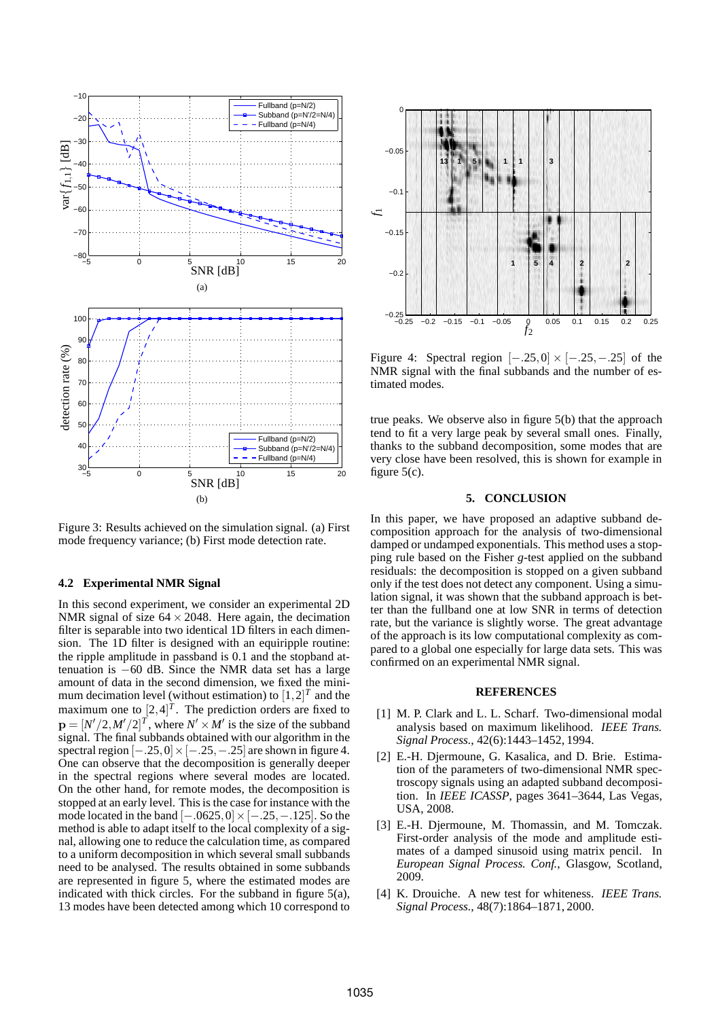

Figure 3: Results achieved on the simulation signal. (a) First mode frequency variance; (b) First mode detection rate.

#### **4.2 Experimental NMR Signal**

In this second experiment, we consider an experimental 2D NMR signal of size  $64 \times 2048$ . Here again, the decimation filter is separable into two identical 1D filters in each dimension. The 1D filter is designed with an equiripple routine: the ripple amplitude in passband is 0.1 and the stopband attenuation is −60 dB. Since the NMR data set has a large amount of data in the second dimension, we fixed the minimum decimation level (without estimation) to  $[1,2]^T$  and the maximum one to  $[2, 4]^T$ . The prediction orders are fixed to  $\mathbf{p} = [N'/2, M'/2]^T$ , where  $N' \times M'$  is the size of the subband signal. The final subbands obtained with our algorithm in the spectral region  $[-.25,0] \times [-.25,-.25]$  are shown in figure 4. One can observe that the decomposition is generally deeper in the spectral regions where several modes are located. On the other hand, for remote modes, the decomposition is stopped at an early level. This is the case for instance with the mode located in the band  $[-.0625, 0] \times [-.25, -.125]$ . So the method is able to adapt itself to the local complexity of a signal, allowing one to reduce the calculation time, as compared to a uniform decomposition in which several small subbands need to be analysed. The results obtained in some subbands are represented in figure 5, where the estimated modes are indicated with thick circles. For the subband in figure 5(a), 13 modes have been detected among which 10 correspond to



Figure 4: Spectral region  $[-.25,0] \times [-.25,-.25]$  of the NMR signal with the final subbands and the number of estimated modes.

true peaks. We observe also in figure 5(b) that the approach tend to fit a very large peak by several small ones. Finally, thanks to the subband decomposition, some modes that are very close have been resolved, this is shown for example in figure  $5(c)$ .

### **5. CONCLUSION**

In this paper, we have proposed an adaptive subband decomposition approach for the analysis of two-dimensional damped or undamped exponentials. This method uses a stopping rule based on the Fisher *g*-test applied on the subband residuals: the decomposition is stopped on a given subband only if the test does not detect any component. Using a simulation signal, it was shown that the subband approach is better than the fullband one at low SNR in terms of detection rate, but the variance is slightly worse. The great advantage of the approach is its low computational complexity as compared to a global one especially for large data sets. This was confirmed on an experimental NMR signal.

### **REFERENCES**

- [1] M. P. Clark and L. L. Scharf. Two-dimensional modal analysis based on maximum likelihood. *IEEE Trans. Signal Process.*, 42(6):1443–1452, 1994.
- [2] E.-H. Djermoune, G. Kasalica, and D. Brie. Estimation of the parameters of two-dimensional NMR spectroscopy signals using an adapted subband decomposition. In *IEEE ICASSP*, pages 3641–3644, Las Vegas, USA, 2008.
- [3] E.-H. Djermoune, M. Thomassin, and M. Tomczak. First-order analysis of the mode and amplitude estimates of a damped sinusoid using matrix pencil. In *European Signal Process. Conf.*, Glasgow, Scotland, 2009.
- [4] K. Drouiche. A new test for whiteness. *IEEE Trans. Signal Process.*, 48(7):1864–1871, 2000.